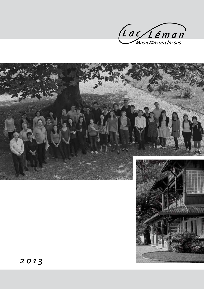



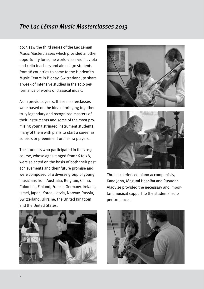# *The Lac Léman Music Masterclasses 2013*

2013 saw the third series of the Lac Léman Music Masterclasses which provided another opportunity for some world-class violin, viola and cello teachers and almost 30 students from 18 countries to come to the Hindemith Music Centre in Blonay, Switzerland, to share a week of intensive studies in the solo performance of works of classical music.

As in previous years, these masterclasses were based on the idea of bringing together truly legendary and recognized masters of their instruments and some of the most promising young stringed instrument students, many of them with plans to start a career as soloists or preeminent orchestra players.

The students who participated in the 2013 course, whose ages ranged from 16 to 28, were selected on the basis of both their past achievements and their future promise and were composed of a diverse group of young musicians from Australia, Belgium, China, Colombia, Finland, France, Germany, Ireland, Israel, Japan, Korea, Latvia, Norway, Russia, Switzerland, Ukraine, the United Kingdom and the United States.





Three experienced piano accompanists, Kane Joho, Megumi Hashiba and Rusudan Aladvize provided the necessary and important musical support to the students' solo performances.



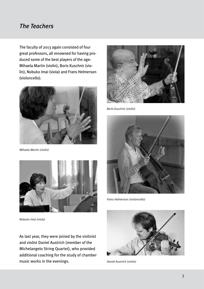#### *The Teachers*

The faculty of 2013 again consisted of four great professors, all renowned for having produced some of the best players of the age: Mihaela Martin (violin), Boris Kuschnir (violin), Nobuko Imai (viola) and Frans Helmerson (violoncello).



*Mihaela Martin (violin)* 



*Nobuko Imai (viola)*

As last year, they were joined by the violinist and violist Daniel Austrich (member of the Michelangelo String Quartet), who provided additional coaching for the study of chamber music works in the evenings.



*Boris Kuschnir (violin)*



*Frans Helmerson (violoncello)*



*Daniel Austrich (violin)*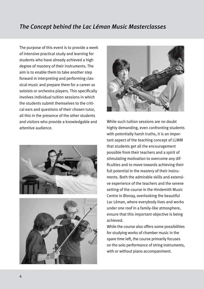#### *The Concept behind the Lac Léman Music Masterclasses*

The purpose of this event is to provide a week of intensive practical study and learning for students who have already achieved a high degree of mastery of their instruments. The aim is to enable them to take another step forward in interpreting and performing classical music and prepare them for a career as soloists or orchestra players. This specifically involves individual tuition sessions in which the students submit themselves to the critical ears and questions of their chosen tutor, all this in the presence of the other students and visitors who provide a knowledgable and attentive audience.







While such tuition sessions are no doubt highly demanding, even confronting students with potentially harsh truths, it is an important aspect of the teaching concept of LLMM that students get all the encouragement possible from their teachers and a spirit of stimulating motivation to overcome any difficulties and to move towards achieving their full potential in the mastery of their instruments. Both the admirable skills and extensive experience of the teachers and the serene setting of the course in the Hindemith Music Centre in Blonay, overlooking the beautiful Lac Léman, where everybody lives and works under one roof in a family-like atmosphere, ensure that this important objective is being achieved.

While the course also offers some possibilities for studying works of chamber music in the spare time left, the course primarily focuses on the solo performance of string instruments, with or without piano accompaniment.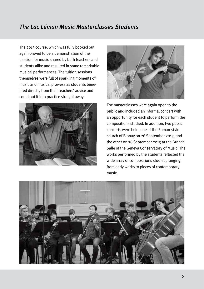# *The Lac Léman Music Masterclasses Students*

The 2013 course, which was fully booked out, again proved to be a demonstration of the passion for music shared by both teachers and students alike and resulted in some remarkable musical performances. The tuition sessions themselves were full of sparkling moments of music and musical prowess as students benefited directly from their teachers' advice and could put it into practice straight away.





The masterclasses were again open to the public and included an informal concert with an opportunity for each student to perform the compositions studied. In addition, two public concerts were held, one at the Roman-style church of Blonay on 26 September 2013, and the other on 28 September 2013 at the Grande Salle of the Geneva Conservatory of Music. The works performed by the students reflected the wide array of compositions studied, ranging from early works to pieces of contemporary music.

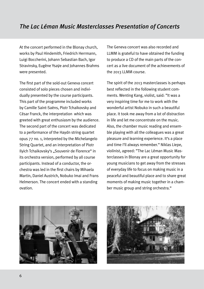At the concert performed in the Blonay church, works by Paul Hindemith, Friedrich Herrmann, Luigi Boccherini, Johann Sebastian Bach, Igor Stravinsky, Eugène Ysaÿe and Johannes Brahms were presented.

The first part of the sold-out Geneva concert consisted of solo pieces chosen and individually presented by the course participants. This part of the programme included works by Camille Saint-Saëns, Piotr Tchaikovsky and César Franck, the interpretation which was greeted with great enthusiasm by the audience. The second part of the concert was dedicated to a performance of the Haydn string quartet opus 77 no. 1, interpreted by the Michelangelo String Quartet, and an interpretation of Piotr Ilyich Tchaikovsky's "Souvenir de Florence" in its orchestra version, performed by all course participants. Instead of a conductor, the orchestra was led in the first chairs by Mihaela Martin, Daniel Austrich, Nobuko Imai and Frans Helmerson. The concert ended with a standing ovation.

The Geneva concert was also recorded and LLMM is grateful to have obtained the funding to produce a CD of the main parts of the concert as a live document of the achievements of the 2013 LLMM course.

The spirit of the 2013 masterclasses is perhaps best reflected in the following student comments. Wenting Kang, violist, said: "It was a very inspiring time for me to work with the wonderful artist Nobuko in such a beautiful place. It took me away from a lot of distraction in life and let me concentrate on the music. Also, the chamber music reading and ensemble playing with all the colleagues was a great pleasure and learning experience. It's a place and time I'll always remember." Niklas Liepe, violinist, agreed: "The Lac Léman Music Masterclasses in Blonay are a great opportunity for young musicians to get away from the stresses of everyday life to focus on making music in a peaceful and beautiful place and to share great moments of making music together in a chamber music group and string orchestra."



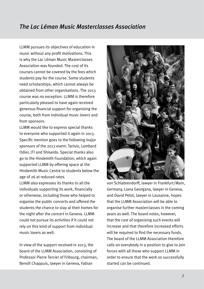#### *The Lac Léman Music Masterclasses Association*

LLMM pursues its objectives of education in music without any profit motivations. This is why the Lac Léman Music Masterclasses Association was founded. The cost of its courses cannot be covered by the fees which students pay for the course. Some students need scholarships, which cannot always be obtained from other organisations. The 2013 course was no exception. LLMM is therefore particularly pleased to have again received generous financial support for organising the course, both from individual music lovers and from sponsors.

LLMM would like to express special thanks to everyone who supported it again in 2013. Specific mention goes to the following major sponsors of the 2013 event: Tarisio, Lombard Odier, JTI and Shiseido. Special thanks also go to the Hindemith Foundation, which again supported LLMM by offering space at the Hindemith Music Centre to students below the age of 26 at reduced rates.

LLMM also expresses its thanks to all the individuals supporting its work, financially or otherwise, including those who helped to organise the public concerts and offered the students the chance to stay at their homes for the night after the concert in Geneva. LLMM could not pursue its activities if it could not rely on this kind of support from individual music lovers as well.

In view of the support received in 2013, the board of the LLMM Association, consisting of Professor Pierre Tercier of Fribourg, chairman, Benoît Chappuis, lawyer in Geneva, Fabian



von Schlabrendorff, lawyer in Frankfurt/Main, Germany, Liana Georgana, lawyer in Geneva, and David Pelot, lawyer in Lausanne, hopes that the LLMM Association will be able to organise further masterclasses in the coming years as well. The board notes, however, that the cost of organising such events will increase and that therefore increased efforts will be required to find the necessary funds. The board of the LLMM Association therefore calls on everybody in a position to give to join forces with all those who support LLMM in order to ensure that the work so successfully started can be continued.